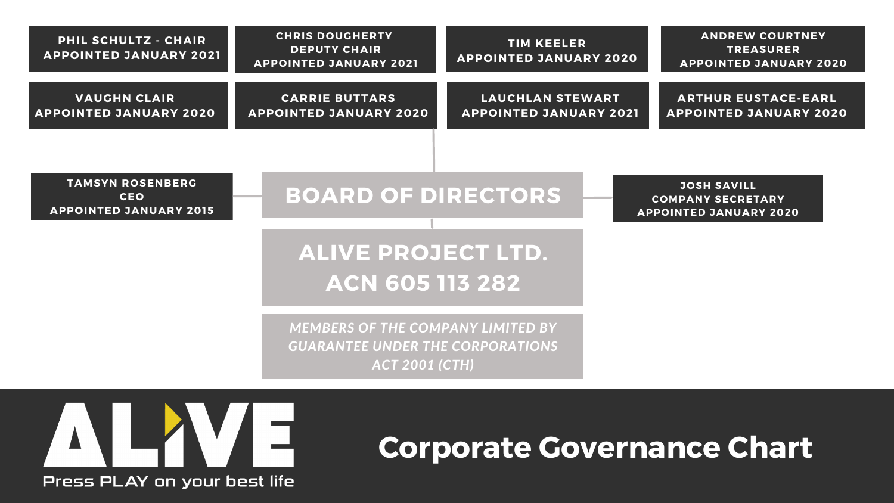## **ALIVE PROJECT LTD. ACN 605 113 282**

### **BOARD OF DIRECTORS**

**JOSH SAVILL COMPANY SECRETARY APPOINTED JANUARY 2020**

| <b>PHIL SCHULTZ - CHAIR</b><br><b>APPOINTED JANUARY 2021</b> | <b>CHRIS DOUGHERTY</b><br><b>DEPUTY CHAIR</b><br><b>APPOINTED JANUARY 2021</b> | <b>TIM KEELER</b><br><b>APPOINTED JANUARY 2020</b> | <b>ANDRE</b><br><b>TRI</b><br><b>APPOINTE</b> |
|--------------------------------------------------------------|--------------------------------------------------------------------------------|----------------------------------------------------|-----------------------------------------------|
| <b>VAUGHN CLAIR</b>                                          | <b>CARRIE BUTTARS</b>                                                          | LAUCHLAN STEWART                                   | <b>ARTHURE</b>                                |
| <b>APPOINTED JANUARY 2020</b>                                | <b>APPOINTED JANUARY 2020</b>                                                  | <b>APPOINTED JANUARY 2021</b>                      | <b>APPOINTED</b>                              |

**TAMSYN ROSENBERG CEO APPOINTED JANUARY 2015**

#### **ANDREW COURTNEY TREASURER APPOINTED JANUARY 2020**

#### **ARTHUR EUSTACE-EARL APPOINTED JANUARY 2020**

*MEMBERS OF THE COMPANY LIMITED BY GUARANTEE UNDER THE CORPORATIONS ACT 2001 (CTH)*



## **TIM KEELER**

# **Corporate Governance Chart**